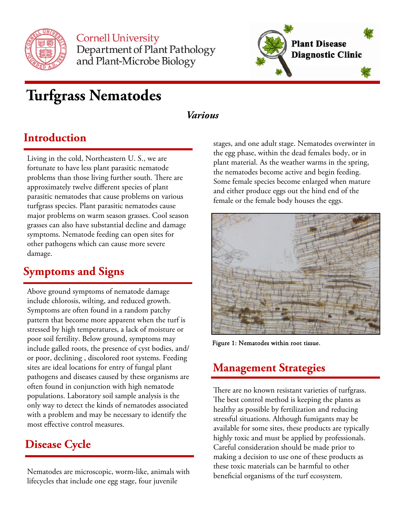

**Cornell University** Department of Plant Pathology and Plant-Microbe Biology



# **Turfgrass Nematodes**

#### *Various*

#### **Introduction**

Living in the cold, Northeastern U. S., we are fortunate to have less plant parasitic nematode problems than those living further south. There are approximately twelve different species of plant parasitic nematodes that cause problems on various turfgrass species. Plant parasitic nematodes cause major problems on warm season grasses. Cool season grasses can also have substantial decline and damage symptoms. Nematode feeding can open sites for other pathogens which can cause more severe damage.

### **Symptoms and Signs**

Above ground symptoms of nematode damage include chlorosis, wilting, and reduced growth. Symptoms are often found in a random patchy pattern that become more apparent when the turf is stressed by high temperatures, a lack of moisture or poor soil fertility. Below ground, symptoms may include galled roots, the presence of cyst bodies, and/ or poor, declining , discolored root systems. Feeding sites are ideal locations for entry of fungal plant pathogens and diseases caused by these organisms are often found in conjunction with high nematode populations. Laboratory soil sample analysis is the only way to detect the kinds of nematodes associated with a problem and may be necessary to identify the most effective control measures.

### **Disease Cycle**

Nematodes are microscopic, worm-like, animals with lifecycles that include one egg stage, four juvenile

stages, and one adult stage. Nematodes overwinter in the egg phase, within the dead females body, or in plant material. As the weather warms in the spring, the nematodes become active and begin feeding. Some female species become enlarged when mature and either produce eggs out the hind end of the female or the female body houses the eggs.



Figure 1: Nematodes within root tissue.

## **Management Strategies**

There are no known resistant varieties of turfgrass. The best control method is keeping the plants as healthy as possible by fertilization and reducing stressful situations. Although fumigants may be available for some sites, these products are typically highly toxic and must be applied by professionals. Careful consideration should be made prior to making a decision to use one of these products as these toxic materials can be harmful to other beneficial organisms of the turf ecosystem.